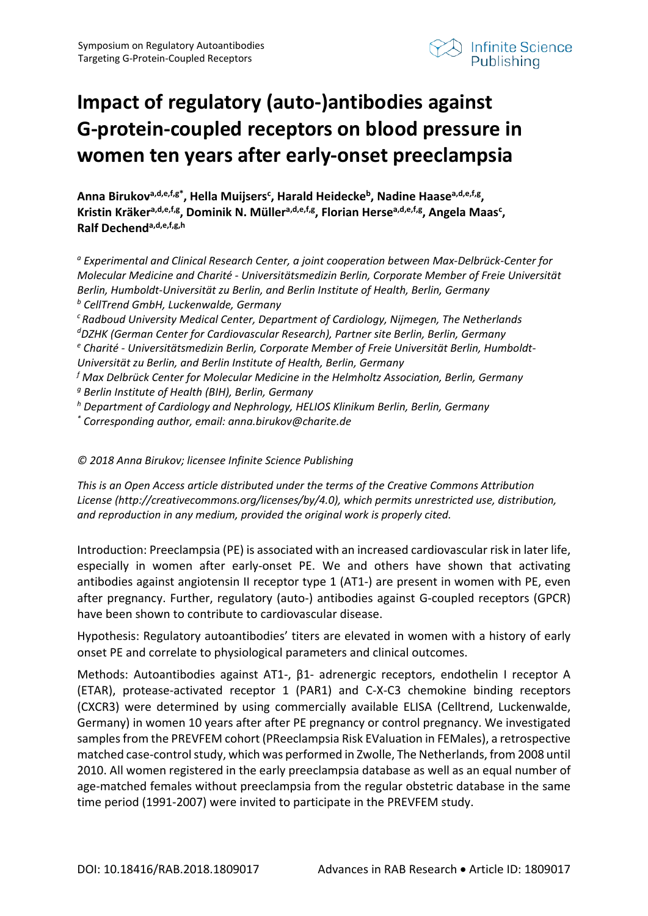

## **Impact of regulatory (auto-)antibodies against G-protein-coupled receptors on blood pressure in women ten years after early-onset preeclampsia**

Anna Birukov<sup>a,d,e,f,g\*</sup>, Hella Muijsers<sup>c</sup>, Harald Heidecke<sup>b</sup>, Nadine Haase<sup>a,d,e,f,g</sup>, **Kristin Kräkera,d,e,f,g, Dominik N. Müllera,d,e,f,g, Florian Hersea,d,e,f,g, Angela Maasc , Ralf Dechenda,d,e,f,g,h**

*<sup>a</sup> Experimental and Clinical Research Center, a joint cooperation between Max-Delbrück-Center for Molecular Medicine and Charité - Universitätsmedizin Berlin, Corporate Member of Freie Universität Berlin, Humboldt-Universität zu Berlin, and Berlin Institute of Health, Berlin, Germany <sup>b</sup> CellTrend GmbH, Luckenwalde, Germany*

*c Radboud University Medical Center, Department of Cardiology, Nijmegen, The Netherlands d DZHK (German Center for Cardiovascular Research), Partner site Berlin, Berlin, Germany*

*<sup>e</sup> Charité - Universitätsmedizin Berlin, Corporate Member of Freie Universität Berlin, Humboldt-Universität zu Berlin, and Berlin Institute of Health, Berlin, Germany*

*<sup>f</sup> Max Delbrück Center for Molecular Medicine in the Helmholtz Association, Berlin, Germany*

- *<sup>g</sup> Berlin Institute of Health (BIH), Berlin, Germany*
- *<sup>h</sup> Department of Cardiology and Nephrology, HELIOS Klinikum Berlin, Berlin, Germany*
- *\* Corresponding author, email: anna.birukov@charite.de*

*© 2018 Anna Birukov; licensee Infinite Science Publishing*

*This is an Open Access article distributed under the terms of the Creative Commons Attribution License (http://creativecommons.org/licenses/by/4.0), which permits unrestricted use, distribution, and reproduction in any medium, provided the original work is properly cited.*

Introduction: Preeclampsia (PE) is associated with an increased cardiovascular risk in later life, especially in women after early-onset PE. We and others have shown that activating antibodies against angiotensin II receptor type 1 (AT1-) are present in women with PE, even after pregnancy. Further, regulatory (auto-) antibodies against G-coupled receptors (GPCR) have been shown to contribute to cardiovascular disease.

Hypothesis: Regulatory autoantibodies' titers are elevated in women with a history of early onset PE and correlate to physiological parameters and clinical outcomes.

Methods: Autoantibodies against AT1-, β1- adrenergic receptors, endothelin I receptor A (ETAR), protease-activated receptor 1 (PAR1) and C-X-C3 chemokine binding receptors (CXCR3) were determined by using commercially available ELISA (Celltrend, Luckenwalde, Germany) in women 10 years after after PE pregnancy or control pregnancy. We investigated samples from the PREVFEM cohort (PReeclampsia Risk EValuation in FEMales), a retrospective matched case-control study, which was performed in Zwolle, The Netherlands, from 2008 until 2010. All women registered in the early preeclampsia database as well as an equal number of age-matched females without preeclampsia from the regular obstetric database in the same time period (1991-2007) were invited to participate in the PREVFEM study.